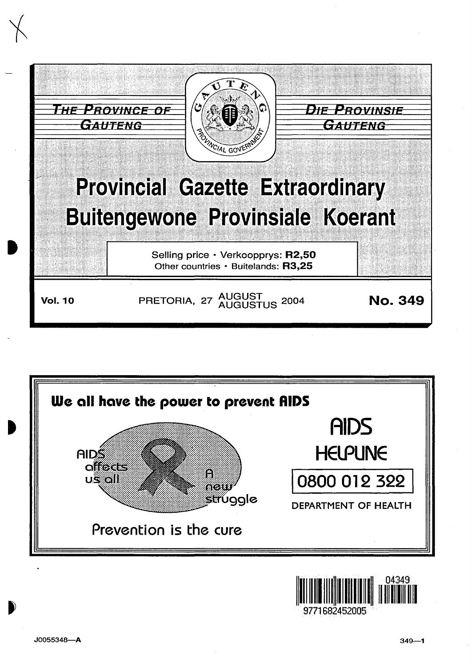



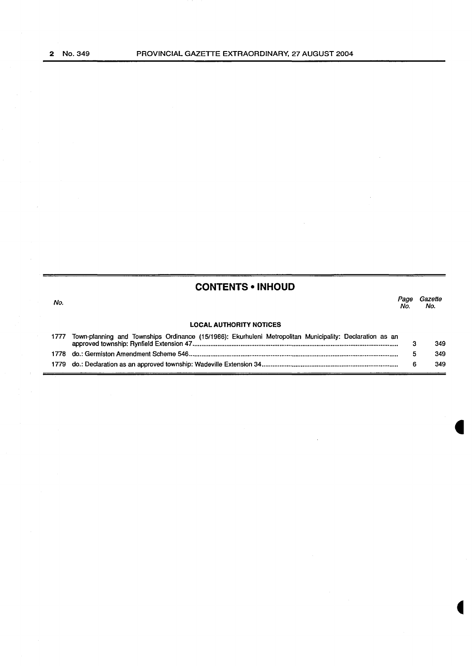**CONTENTS • INHOUD** 

No. Page Gazette No. No.

### **LOCAL AUTHORITY NOTICES**

| 1777 | Town-planning and Townships Ordinance (15/1986): Ekurhuleni Metropolitan Municipality: Declaration as an |  |     |
|------|----------------------------------------------------------------------------------------------------------|--|-----|
|      |                                                                                                          |  | 349 |
|      |                                                                                                          |  | 349 |
|      |                                                                                                          |  | 349 |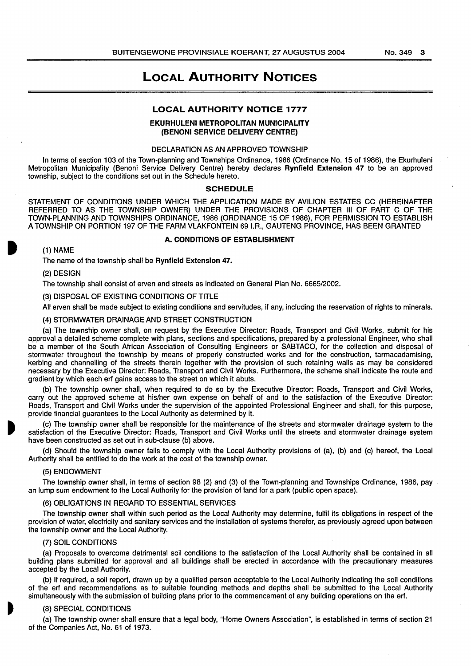## LOCAL AUTHORITY NOTICES

### LOCAL AUTHORITY NOTICE 1777

### EKURHULENI METROPOLITAN MUNICIPALITY (BENONI SERVICE DELIVERY CENTRE)

### DECLARATION AS AN APPROVED TOWNSHIP

In terms of section 103 of the Town-planning and Townships Ordinance, 1986 (Ordinance No. 15 of 1986), the Ekurhuleni Metropolitan Municipality (Benoni Service Delivery Centre) hereby declares Rynfield Extension 47 to be an approved township, subject to the conditions set out in the Schedule hereto.

### **SCHEDULE**

STATEMENT OF CONDITIONS UNDER WHICH THE APPLICATION MADE BY AVILION ESTATES CC (HEREINAFTER REFERRED TO AS THE TOWNSHIP OWNER) UNDER THE PROVISIONS OF CHAPTER Ill OF PART C OF THE TOWN-PLANNING AND TOWNSHIPS ORDINANCE, 1986 (ORDINANCE 15 OF 1986), FOR PERMISSION TO ESTABLISH A TOWNSHIP ON PORTION 197 OF THE FARM VLAKFONTEIN 691.R., GAUTENG PROVINCE, HAS BEEN GRANTED

### A. CONDITIONS OF ESTABLISHMENT

(1) NAME

The name of the township shall be Rynfield Extension 47.

(2) DESIGN

The township shall consist of erven and streets as indicated on General Plan No. 6665/2002.

(3) DISPOSAL OF EXISTING CONDITIONS OF TITLE

All erven shall be made subject to existing conditions and servitudes, if any, including the reservation of rights to minerals.

(4) STORMWATER DRAINAGE AND STREET CONSTRUCTION

(a) The township owner shall, on request by the Executive Director: Roads, Transport and Civil Works, submit for his approval a detailed scheme complete with plans, sections and specifications, prepared by a professional Engineer, who shall be a member of the South African Association of Consulting Engineers or SABTACO, for the collection and disposal of stormwater throughout the township by means of properly constructed works and for the construction, tarmacadamising, kerbing and channelling of the streets therein together with the provision of such retaining walls as may be considered necessary by the Executive Director: Roads, Transport and Civil Works. Furthermore, the scheme shall indicate the route and gradient by which each erf gains access to the street on which it abuts.

(b) The township owner shall, when required to do so by the Executive Director: Roads, Transport and Civil Works, carry out the approved scheme at his/her own expense on behalf of and to the satisfaction of the Executive Director: Roads, Transport and Civil Works under the supervision of the appointed Professional Engineer and shall, for this purpose, provide financial guarantees to the Local Authority as determined by it.

(c) The township owner shall be responsible for the maintenance of the streets and stormwater drainage system to the satisfaction of the Executive Director: Roads, Transport and Civil Works until the streets and stormwater drainage system have been constructed as set out in sub-clause (b) above.

(d) Should the township owner fails to comply with the Local Authority provisions of (a), (b) and (c) hereof, the Local Authority shall be entitled to do the work at the cost of the township owner.

### (5) ENDOWMENT

The township owner shall, in terms of section 98 (2) and (3) of the Town-planning and Townships Ordinance, 1986, pay an lump sum endowment to the Local Authority for the provision of land for a park (public open space).

### (6) OBLIGATIONS IN REGARD TO ESSENTIAL SERVICES

The township owner shall within such period as the Local Authority may determine, fulfil its obligations in respect of the provision of water, electricity and sanitary services and the installation of systems therefor, as previously agreed upon between the township owner and the Local Authority.

### (7) SOIL CONDITIONS

(a) Proposals to overcome detrimental soil conditions to the satisfaction of the Local Authority shall be contained in all building plans submitted for approval and all buildings shall be erected in accordance with the precautionary measures accepted by the Local Authority.

(b) If required, a soil report, drawn up by a qualified person acceptable to the Local Authority indicating the soil conditions of the erf and recommendations as to suitable founding methods and depths shall be submitted to the Local Authority simultaneously with the submission of building plans prior to the commencement of any building operations on the erf.

### (8) SPECIAL CONDITIONS

(a) The township owner shall ensure that a legal body, "Home Owners Association", is established in terms of section 21 of the Companies Act, No. 61 of 1973.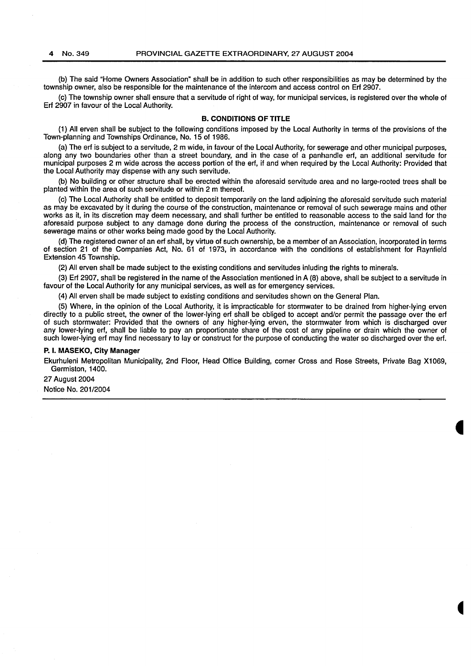(b) The said "Home Owners Association" shall be in addition to such other responsibilities as may be determined by the township owner, also be responsible for the maintenance of the intercom and access control on Erf 2907.

(c) The township owner shall ensure that a servitude of right of way, for municipal services, is registered over the whole of Erf 2907 in favour of the Local Authority.

### **B. CONDITIONS OF TITLE**

(1) All erven shall be subject to the following conditions imposed by the Local Authority in terms of the provisions of the Town-planning and Townships Ordinance, No. 15 of 1986.

(a) The erf is subject to a servitude, 2 m wide, in favour of the Local Authority, for sewerage and other municipal purposes, along any two boundaries other than a street boundary, and in the case of a panhandle erf, an additional servitude for municipal purposes 2 m wide across the access portion of the erf, if and when required by the Local Authority: Provided that the Local Authority may dispense with any such servitude.

(b) No building or other structure shall be erected within the aforesaid servitude area and no large-rooted trees shall be planted within the area of such servitude or within 2 m thereof.

(c) The Local Authority shall be entitled to deposit temporarily on the land adjoining the aforesaid servitude such material as may be excavated by it during the course of the construction, maintenance or removal of such sewerage mains and other works as it, in its discretion may deem necessary, and shall further be entitled to reasonable access to the said land for the aforesaid purpose subject to any damage done during the process of the construction, maintenance or removal of such sewerage mains or other works being made good by the Local Authority.

(d) The registered owner of an erf shall, by virtue of such ownership, be a member of an Association, incorporated in terms of section 21 of the Companies Act, No. 61 of 1973, in accordance with the conditions of establishment for Raynfield Extension 45 Township.

(2) All erven shall be made subject to the existing conditions and servitudes inluding the rights to minerals.

(3) Erf 2907, shall be registered in the name of the Association mentioned in A (8) above, shall be subject to a servitude in favour of the Local Authority for any municipal services, as well as for emergency services.

(4) All erven shall be made subject to existing conditions and servitudes shown on the General Plan.

(5) Where, in the opinion of the Local Authority, it is impracticable for stormwater to be drained from higher-lying erven directly to a public street, the owner of the lower-lying erf shall be obliged to accept and/or permit the passage over the erf of such stormwater: Provided that the owners of any higher-lying erven, the stormwater from which is discharged over any lower-lying erf, shall be liable to pay an proportionate share of the cost of any pipeline or drain which the owner of such lower-lying erf may find necessary to lay or construct for the purpose of conducting the water so discharged over the erf.

### **P. I. MASEKO, City Manager**

Ekurhuleni Metropolitan Municipality, 2nd Floor, Head Office Building, corner Cross and Rose Streets, Private Bag X1 069, Germiston, 1400.

27 August 2004 Notice No. 201/2004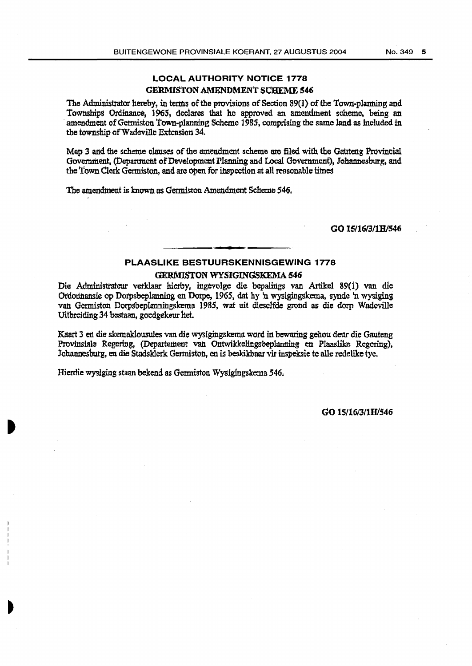### LOCAL AUTHORITY NOTICE 1778 GERMISTON AMENDMENT SCHEME 546

The Administrator hereby, in terms of the provisions of Section 89(1) of the Town-planning and Townships Ordinance, 1965, declares that he approved an amendment scheme, being an amendment of Germiston Town-planning Scheme 1985, comprising the same land as included in the township of Wadeville Extension 34.

Map 3 and the scheme clauses of the amendment scheme are filed with the Gauteng Provincial Government, (Department of Development Planning and Local Government), Johannesburg, and the Town Clerk Germiston, and are oven for inspection at all reasonable times

The amendment is known as Germiston Amendment Scheme 546.

GO l5116/3/1B/546

### PLAASLIKE BESTUURSKENNISGEWING 1778

### **GERMISTON WYSIGINGSKEMA 546**

Die Administrateur verklaar hierby, ingevolge die bepalings van Artikel 89(1) van die Ordodnansie op Dorpsbeplanning en Dorpe, 1965, dat hy 'n wysigingskerna, synde 'n wysiging van Germiston Dorpsbeplanningskema 1985, wat uit dieselfde grond as die dorp Wadcville Uitbreiding .34 bestaan, gocdgekeur het.

Kaart 3 en die skemaklousules van die wysigingskema word in bewaring gehou deur die Gauteng Provinsiale Regering, (Departement van Ontwikkelingsbeplanning en Plaaslike Regering), Johannesburg, en die Stadsklerk Gertniston, en is beskikbaar vir inspeksic tc alle redelikc tye.

Hierdie wysiging staan bekend as Germiston Wysigingskema 546.

### GO 15/16/3/lH/546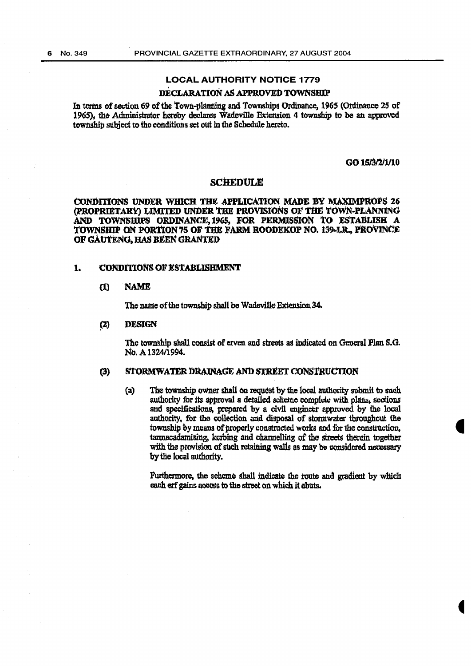### **LOCAL AUTHORITY NOTICE 1779**

### DECLARATION AS APPROVED TOWNSHIP

In terms of section 69 of the Town-planning and Townships Ordinance, 1965 (Ordinance 25 of 1965), the Administrator hereby declares Wadeville Extension 4 township to be an approved township subject to the conditions set out in the Schedule hereto.

### GO 15/3/2/1/10

### **SCHEDULE**

CONDITIONS UNDER WHICH THE APPLICATION MADE BY MAXIMPROPS 26 (PROPRIETARY) LIMITED UNDER THE PROVISIONS OF THE TOWN-PLANNING AND TOWNSHIPS ORDINANCE, 1965, FOR PERMISSION TO ESTABLISH A TOWNSHIP ON PORTION 75 OF THE FARM ROODEKOP NO. 139-J.R., PROVINCE OF GAUTENG. HAS BEEN GRANTED

#### $\mathbf{1}$ **CONDITIONS OF ESTABLISHMENT**

#### $\mathbf{u}$ **NAME**

The name of the township shall be Wadeville Extension 34.

#### $(2)$ **DESIGN**

The township shall consist of erven and streets as indicated on General Plan S.G. No. A 1324/1994.

#### $(3)$ STORMWATER DRAINAGE AND STREET CONSTRUCTION

The township owner shall on request by the local authority submit to such  $(a)$ authority for its approval a detailed scheme complete with plans, sections and specifications, prepared by a civil engineer approved by the local authority, for the collection and disposal of stormwater throughout the township by means of properly constructed works and for the construction, tarmacadamising, kerbing and channelling of the streets therein together with the provision of such retaining walls as may be considered necessary by the local authority.

Furthermore, the scheme shall indicate the route and gradient by which each erf gains access to the street on which it abuts.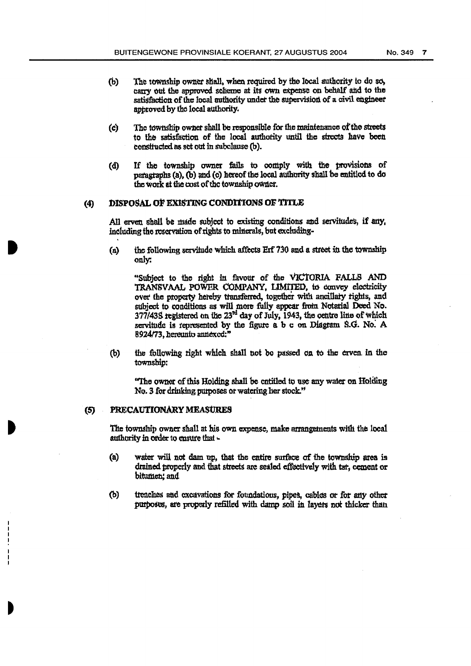- The township owner shall, when required by the local authority to do so, (b) carry out the approved scheme at its own expense on behalf and to the satisfaction of the local authority under the supervision of a civil engineer approved by the local authority.
- The township owner shall be responsible for the maintenance of the streets  $(c)$ to the satisfaction of the local authority until the strects have been constructed as set out in subclause (b).
- If the township owner fails to comply with the provisions of  $(d)$ paragraphs (a), (b) and (c) hereof the local authority shall be entitled to do the work at the cost of the township owner.

#### DISPOSAL OF EXISTING CONDITIONS OF TITLE  $(4)$

All erven shall be made subject to existing conditions and servitudes, if any, including the reservation of rights to minerals, but excluding-

the following servitude which affects Erf 730 and a street in the township  $(a)$ only:

"Subject to the right in favour of the VICTORIA FALLS AND TRANSVAAL POWER COMPANY, LIMITED, to convey electricity over the property hereby transferred, together with ancillary rights, and subject to conditions as will more fully appear from Notarial Deed No. 377/43S registered on the 23<sup>rd</sup> day of July, 1943, the centre line of which servitude is represented by the figure a b c on Diagram S.G. No. A 8924/73, hereunto annexed:"

(b) the following right which shall not be passed on to the erven in the township:

"The owner of this Holding shall be entitled to use any water on Holding No. 3 for drinking purposes or watering her stock."

#### PRECAUTIONARY MEASURES (5)

The township owner shall at his own expense, make arrangements with the local authority in order to ensure that -

- water will not dam up, that the entire surface of the township area is  $(a)$ drained properly and that streets are sealed effectively with tar, cement or bitumen, and
- (b) trenches and excavations for foundations, pipes, cables or for any other purposes, are properly refilled with damp soil in layers not thicker than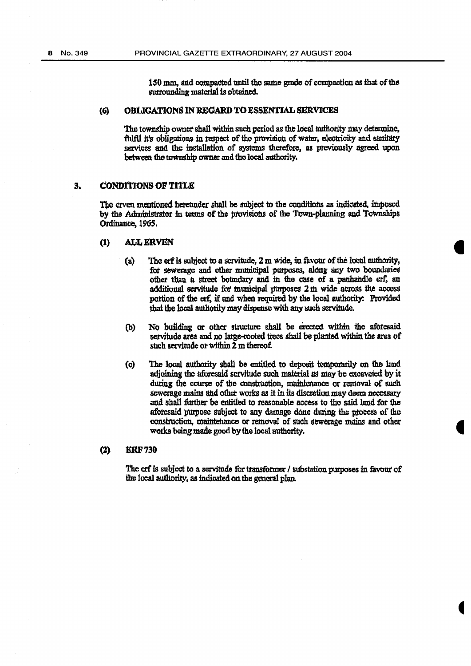150 mm, and compacted until the same grade of compaction as that of the surrounding material is obtained.

#### OBLIGATIONS IN REGARD TO ESSENTIAL SERVICES (6)

The township owner shall within such period as the local authority may determine. fulfil it's obligations in respect of the provision of water, electricity and sanitary services and the installation of systems therefore, as previously agreed upon between the township owner and the local authority.

#### $\overline{\mathbf{3}}$ **CONDITIONS OF TITLE**

The erven mentioned heretinder shall be subject to the conditions as indicated, imposed by the Administrator in terms of the provisions of the Town-planning and Townships Ordinance, 1965.

#### $\bf{u}$ **ALL ERVEN**

- $(a)$ The erf is subject to a servitude, 2 m wide, in favour of the local authority, for sewerage and other municipal purposes, along any two boundaries other than a street boundary and in the case of a panhandle erf, an additional servitude for municipal purposes 2 m wide across the access portion of the erf, if and when required by the local authority: Provided that the local authority may dispense with any such servitude.
- No building or other structure shall be erected within the aforesaid  $(b)$ servitude area and no large-rooted trees shall be planted within the area of such servitude or within 2 m thereof.
- The local authority shall be entitled to deposit temporarily on the land  $\mathbf{c}$ adjoining the aforesaid servitude such material as may be excavated by it during the course of the construction, maintenance or removal of such sewerage mains and other works as it in its discretion may deem necessary and shall further be entitled to reasonable access to the said land for the aforesaid purpose subject to any damage done during the process of the construction, maintenance or removal of such sewerage mains and other works being made good by the local authority.

#### **ERF730**  $(2)$

The crf is subject to a servitude for transformer / substation purposes in favour of the local authority, as indicated on the general plan.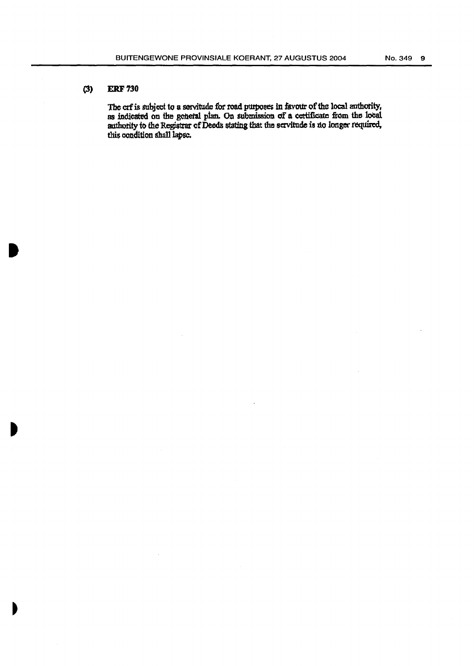### $(3)$ **ERF 730**

The crf is subject to a servitude for road purposes in favour of the local authority, as indicated on the general plan. On submission of a certificate from the local authority to the Registrar of Deeds stating that the servitude is no longer required, this condition shall lapse.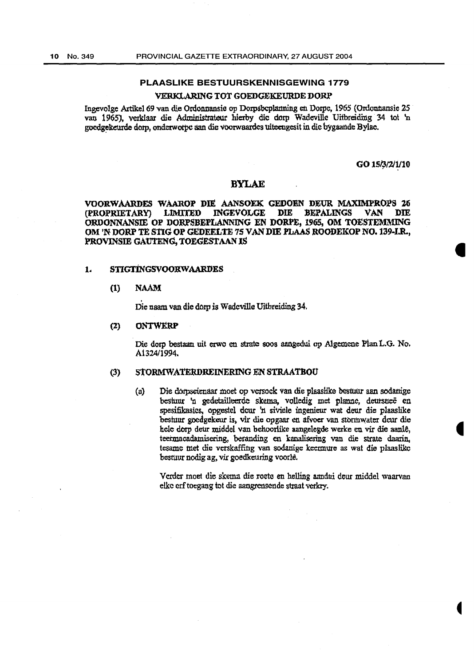### PLAASLIKE BESTUURSKENNISGEWING 1779

### VERKLARING TOT GOEDGEKEURDE DORP

Ingevolge Artikel 69 van die Ordonnansie op Dorpsbcplanning en Dorpc, 1965 (Ordonnansie 25 van 1965), verklaar die Administrateur hierby die dorp Wadevillc Uitbreiding 34 tat 'n goedgekeurde dorp, onderworpe aan die voorwaardes uiteengesit in die bygaande Bylae.

GO 15/3/2/1/10

### BYLAE

VOORWAARDES WAAROP DIE AANSOEK GEDOEN DEUR MAXIMPROPS 26<br>(PROPRIETARY) LIMITED INGEVOLGE DIE BEPALINGS VAN DIE LIMITED INGEVOLGE ORDONNANSIE OP DORPSBEFLANNING EN DORPE, 1965, OM TOESTEMMING OM 'N DORP TE STIG OP GEDEELTE 75 VAN DIE FLAAS ROODEKOP NO. 139-I.R., PROVINSIE GAUTENG, TOEGESTAAN IS

### 1. STIGTINGSVOORWAARDES

### (1) NAAM

Die naam van die dorp is Wadeville Uitbreiding 34.

### (2) ONTWXRP

Die dorp bestaan uit erwo en strate soos aangedui op Algemene Plan L.G. No. A1324/1994.

### (3) STORMWATERDREINERING EN STRAATBOU

(a) Die dorpseienaar moet op versock van die plaaslike bestuur aan sodanige beshmr 'n gedetailleerde skema, volledig met planne, deursnee en spesifikasies. opgestel dcur 'n siviele ingenieur wat deur die plaaslike bestuur goedgekeur is. vir die opgaar en afvoer van stormwater deur die hele dorp deur middel van behoorlike aangelegde werke en vir die aanle, teermacadamisering, beranding en kanalisering van die strate daarin, tesame met die vcrskaffing van sodanige keennure as wat die plaaslikc besruur nodig ag, vir goedkeuring voorle.

Verder moet die skema die roete en helling aandui deur middel waarvan elke erf toegang tot die aangrensende straat verkry.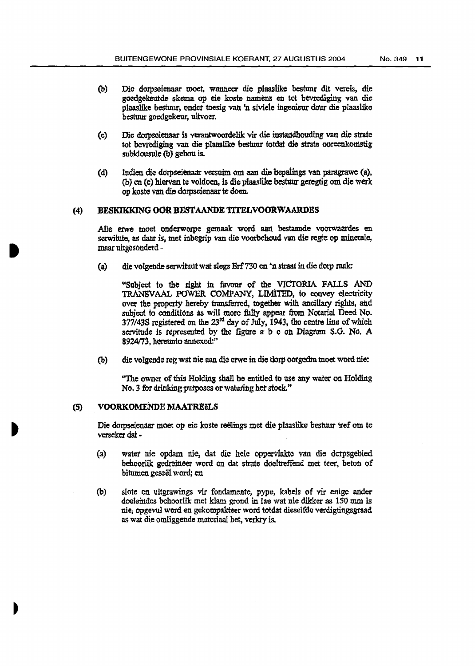- (b) Die dorpseienaar moet, wanneer die plaaslike bestuur dit vereis, die goedgekeutde skema op eie koste namens en tot bevrediging van die plaaslike bestuur, onder toesig van 'n siviele ingenieur dour die plaaslike bestuur goedgekeur, uitvoer.
- (c) Die dorpscienaar is verantwoordelik vir die instandhouding van die strate tot bevrediging van die plaaslike bestuur totdat die strate ooreenkomstig subklousule (b) gebou is.
- (d) Indien die dorpseienaar versuim om aan die bepalings van paragrawe (a). (b) en (c) hiervan te voldoen, is die plaaslike bestuur geregtig om die werk op koste van die dorpseienaar te doen. ·

### (4) BESKIKKING OOR BESTAANDE TITELVOORWAARDES

Alle erwe moet onderworpe gemaak word aan bestaande voorwaardes en scrwitute, as daar is, met inbegrip van die voorbehoud van die regte op minerale, maar uitgesonderd -

(a) die volgende serwituut wat slegs Erf 730 en 'n straat in die dorp raak:

"Subject to the right in favour of the VICTORIA FALLS AND TRANSVAAL POWER COMPANY, LIMITED, to convey electricity over the property hereby transferred, together with ancillary rights, and subject to conditions as will more fully appear from Notarial Deed No.  $377/43S$  registered on the  $23<sup>id</sup>$  day of July, 1943, tho centre line of which servitude is represented by the figure a b c on Diagram S.G. No. A 8924/73, hereunto annexed:"

(b) die volgende reg wat nie aan die erwe in die dorp oorgedra tnoet word nie:

''The owner of this Holding shall be entitled to use any water on Holding No. 3 for drinking putposes or watering het stock."

### (5) VOORKOMENDE MAATREELS

Die dorpseienaar moet op eie koste reëlings met die plaaslike bestuur tref om te vcrseker dat •

- (a) water nie opdam nie, dat die hele oppervlakte van die dorpsgebied behoorlik gedreineer word en dat strate doeltreffend met tcer. beton of bitumen geseël word; en
- (b) slote cn uitgrawings vir fondamente, pype, kabels of vir enige ander doeleindes bchoorlik met klam grond in lae wat nie dikker as 150 mm is nie; Opgevul word en gekompakteer word totdat dieselfdc verdigtingsgraad as wat die omliggende materiaal het, verkry is.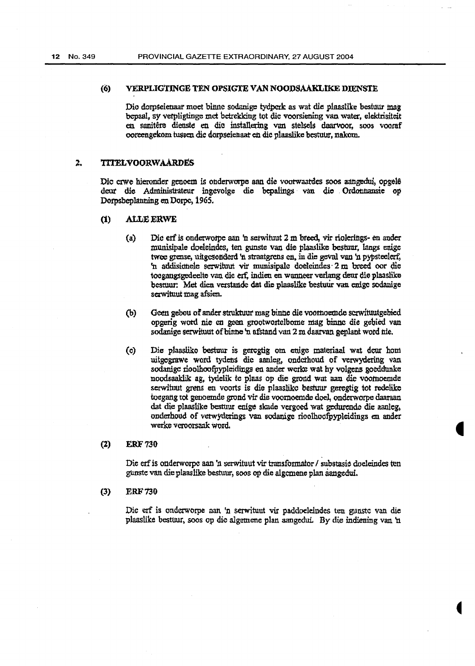### (6) vERPLIGTINGE TEN OPSIGI'E VAN NOODSAAKLIKE DIENSTE

Dio dorpseienaar moet binne sodanige tydperk as wat die plaaslike bestuur mag bepaal, sy verpligtinge met betrekking tot die voorsiening van water, elektrisiteit en sanitêre dienste en die installering van stelsels daarvoor, soos vooraf ooreengekom tussen die dorpseienaat en die plaaslike bestuur, nakom.

### 2. TITELVOORWAARDES

Die crwe hieronder genoem is onderworpe aan die voorwaatdes soos aangedui, opgelê deur die Administrateur ingevolge die bepalings van die Ordonnansie op Dorpsbeplanning en Dorpc, 1965.

- (1) ALLE ERWE
	- (a) Die erf is onderwotpe aan 'n setwituut 2 m breed, vir riolerings- en ander munisipale doeleindes, ten gunste van die plaaslike bestuur, langs enige twee grense, uitgesonderd 'n straatgrens en, in die geval van 'n pypsteelerf, 'n addisiduele serwituut vir munisipale doeleindes 2 m breed oor die toogangsgedeelte van die erf. indien en wanneer verlang deur die plaaslike bestuur: Met dien verstande dat die plaaslike bestuur van enige sodanige sawituut mag afsien.
	- (b} Geen gebou of ander struktuur mag binne die voornoemde scrwituutgebied. opgerig word nie en geen grootwortelbome mag binne die gebied van sodanige serwituut of binne 'n afstand van 2 m daarvan geplant word nie.
	- (c) Die plaasliko bestuur is geregtig om ettige materiaal wat deur hom uitgegrawe word tydens die aanleg, onderhoud of verwydering van sodanige rioolhoofpypleidings en ander werke wat hy volgens goeddunke noodsaaklik ag, tydelik tc plaas op die grond wat aan die vootnoemde serwituut grens en voorts is die plaaslike bestuur geregtig tot redelike toegang tot genoemde grond vir die voornoemde doel, onderworpe daaraan dat die plaaslike bestuur enige skade vergoed wat gedurende die aanleg, onderhoud of verwyderings van sodanige rioolhoofpypleidings en ander werke veroorsaak word.

### (l) £RF730

Die erf is onderworpe aan 'n serwituut vir transformator / substasie doeleindes ten gunste van die plaaslike bestuur, soos *op* die algcmene plan aangedui.

(3) ERF 730

Die erf is onderworpe aan 'n serwituut vir paddoelelndes ten gunstc van die plaaslike besttw.r~ soos op die algetnene plan aangedui *By* die indiening van 'n.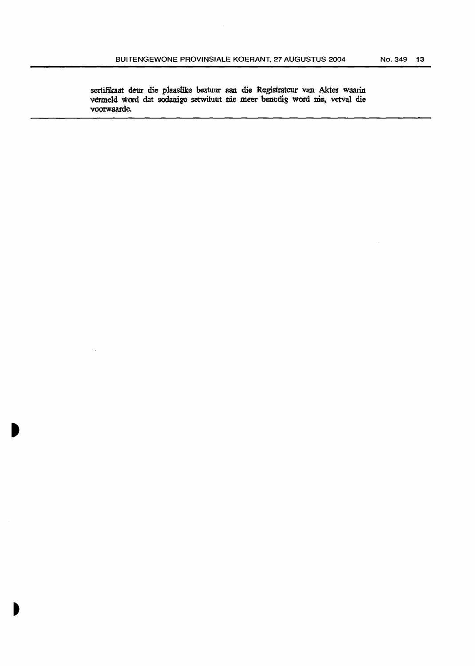sertifikaat deur die plaaslike bestuur aan die Registrateur van Aktes waarin vermeld word dat sodanige setwituut nie meer benodig word nie, verval die voorwaarde.

 $\ddot{\phantom{a}}$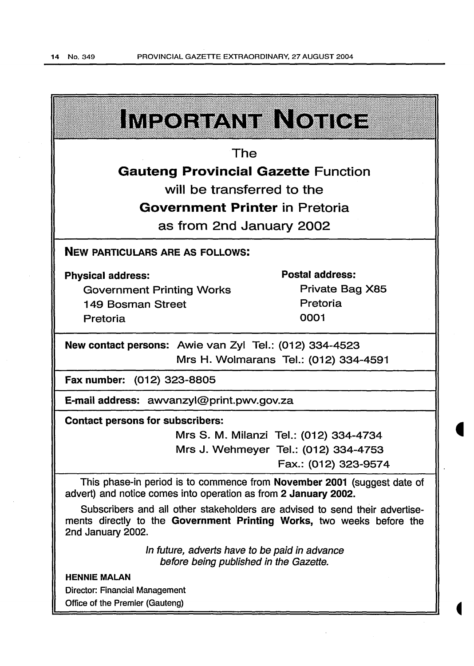$\mathcal{A}^{\mathcal{A}}$ 

 $\bar{\beta}$ 

 $\sim$ 

| <b>IMEQEBANIER OIIOE</b>                                                                                                                                                  |                                      |  |  |  |
|---------------------------------------------------------------------------------------------------------------------------------------------------------------------------|--------------------------------------|--|--|--|
| The                                                                                                                                                                       |                                      |  |  |  |
| <b>Gauteng Provincial Gazette Function</b>                                                                                                                                |                                      |  |  |  |
| will be transferred to the                                                                                                                                                |                                      |  |  |  |
| <b>Government Printer in Pretoria</b>                                                                                                                                     |                                      |  |  |  |
| as from 2nd January 2002                                                                                                                                                  |                                      |  |  |  |
| <b>NEW PARTICULARS ARE AS FOLLOWS:</b>                                                                                                                                    |                                      |  |  |  |
| <b>Physical address:</b>                                                                                                                                                  | Postal address:                      |  |  |  |
| <b>Government Printing Works</b>                                                                                                                                          | Private Bag X85                      |  |  |  |
| 149 Bosman Street                                                                                                                                                         | Pretoria                             |  |  |  |
| Pretoria                                                                                                                                                                  | 0001                                 |  |  |  |
| New contact persons: Awie van Zyl Tel.: (012) 334-4523                                                                                                                    |                                      |  |  |  |
| Mrs H. Wolmarans Tel.: (012) 334-4591                                                                                                                                     |                                      |  |  |  |
| Fax number: (012) 323-8805                                                                                                                                                |                                      |  |  |  |
| E-mail address: awvanzyl@print.pwv.gov.za                                                                                                                                 |                                      |  |  |  |
| <b>Contact persons for subscribers:</b>                                                                                                                                   |                                      |  |  |  |
| Mrs S. M. Milanzi Tel.: (012) 334-4734                                                                                                                                    |                                      |  |  |  |
|                                                                                                                                                                           | Mrs J. Wehmeyer Tel.: (012) 334-4753 |  |  |  |
|                                                                                                                                                                           | Fax.: (012) 323-9574                 |  |  |  |
| This phase-in period is to commence from November 2001 (suggest date of<br>advert) and notice comes into operation as from 2 January 2002.                                |                                      |  |  |  |
| Subscribers and all other stakeholders are advised to send their advertise-<br>ments directly to the Government Printing Works, two weeks before the<br>2nd January 2002. |                                      |  |  |  |
| In future, adverts have to be paid in advance<br>before being published in the Gazette.                                                                                   |                                      |  |  |  |
| <b>HENNIE MALAN</b>                                                                                                                                                       |                                      |  |  |  |
| <b>Director: Financial Management</b>                                                                                                                                     |                                      |  |  |  |
| Office of the Premier (Gauteng)                                                                                                                                           |                                      |  |  |  |

 $\bar{z}$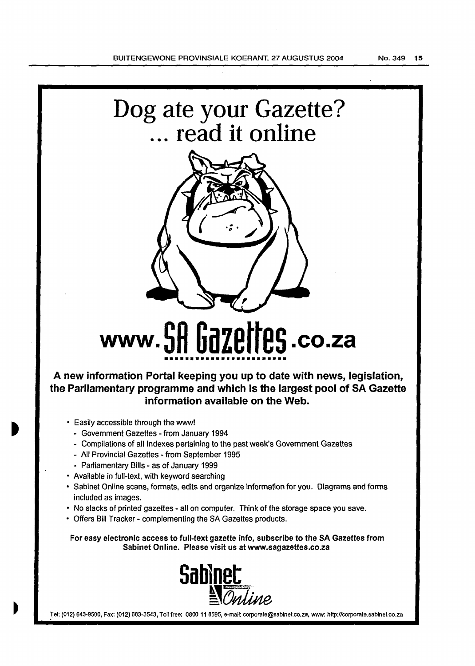



# **www.5H bdZEITES.co.za** •••••••••••••••••••••••••

**A new information Portal keeping you up to date with news, legislation, the Parliamentary programme and which is the largest pool of SA Gazette information available on the Web.** 

- Easily accessible through the www!
	- Government Gazettes- from January 1994
	- Compilations of all Indexes pertaining to the past week's Government Gazettes
	- All Provincial Gazettes- from September 1995
	- Parliamentary Bills as of January 1999
- Available in full-text, with keyword searching
- Sabinet Online scans, formats, edits and organize information for you. Diagrams and forms included as images.
- No stacks of printed gazettes all on computer. Think of the storage space you save.
- Offers Bill Tracker- complementing the SA Gazettes products.

For easy electronic access to full-text gazette info, subscribe to the SA Gazettes from Sabinet Online. Please visit us at www.sagazettes.co.za



Tel: (012) 643-9500, Fax: (012) 663-3543, Toll free: 0800 11 8595, e-mail: corporate@sabinet.co.za, www: http://corporate.sabinet.co.za